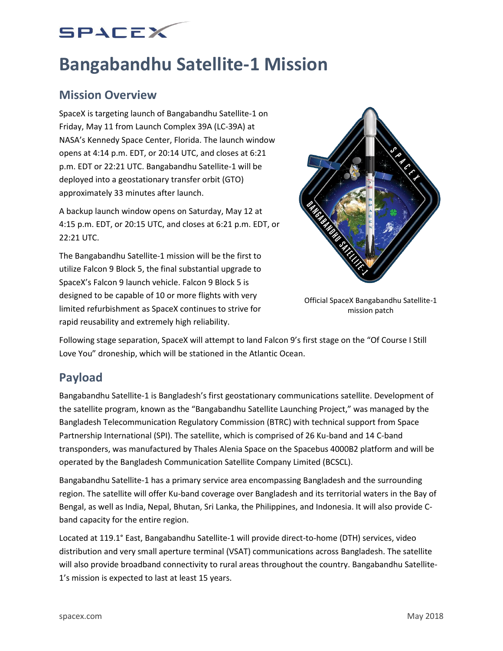## **SPACEX**

# **Bangabandhu Satellite-1 Mission**

## **Mission Overview**

SpaceX is targeting launch of Bangabandhu Satellite-1 on Friday, May 11 from Launch Complex 39A (LC-39A) at NASA's Kennedy Space Center, Florida. The launch window opens at 4:14 p.m. EDT, or 20:14 UTC, and closes at 6:21 p.m. EDT or 22:21 UTC. Bangabandhu Satellite-1 will be deployed into a geostationary transfer orbit (GTO) approximately 33 minutes after launch.

A backup launch window opens on Saturday, May 12 at 4:15 p.m. EDT, or 20:15 UTC, and closes at 6:21 p.m. EDT, or 22:21 UTC.

The Bangabandhu Satellite-1 mission will be the first to utilize Falcon 9 Block 5, the final substantial upgrade to SpaceX's Falcon 9 launch vehicle. Falcon 9 Block 5 is designed to be capable of 10 or more flights with very limited refurbishment as SpaceX continues to strive for rapid reusability and extremely high reliability.



Official SpaceX Bangabandhu Satellite-1 mission patch

Following stage separation, SpaceX will attempt to land Falcon 9's first stage on the "Of Course I Still Love You" droneship, which will be stationed in the Atlantic Ocean.

## **Payload**

Bangabandhu Satellite-1 is Bangladesh's first geostationary communications satellite. Development of the satellite program, known as the "Bangabandhu Satellite Launching Project," was managed by the Bangladesh Telecommunication Regulatory Commission (BTRC) with technical support from Space Partnership International (SPI). The satellite, which is comprised of 26 Ku-band and 14 C-band transponders, was manufactured by Thales Alenia Space on the Spacebus 4000B2 platform and will be operated by the Bangladesh Communication Satellite Company Limited (BCSCL).

Bangabandhu Satellite-1 has a primary service area encompassing Bangladesh and the surrounding region. The satellite will offer Ku-band coverage over Bangladesh and its territorial waters in the Bay of Bengal, as well as India, Nepal, Bhutan, Sri Lanka, the Philippines, and Indonesia. It will also provide Cband capacity for the entire region.

Located at 119.1° East, Bangabandhu Satellite-1 will provide direct-to-home (DTH) services, video distribution and very small aperture terminal (VSAT) communications across Bangladesh. The satellite will also provide broadband connectivity to rural areas throughout the country. Bangabandhu Satellite-1's mission is expected to last at least 15 years.